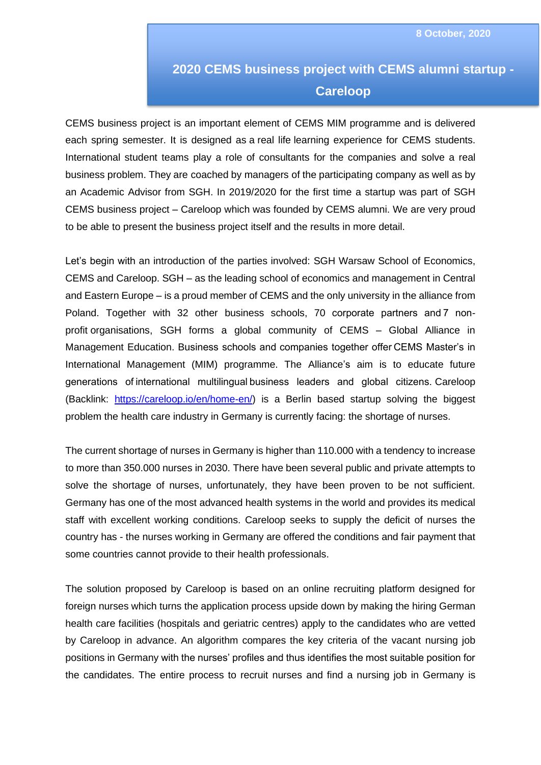## **2020 CEMS business project with CEMS alumni startup - Careloop**

CEMS business project is an important element of CEMS MIM programme and is delivered each spring semester. It is designed as a real life learning experience for CEMS students. International student teams play a role of consultants for the companies and solve a real business problem. They are coached by managers of the participating company as well as by an Academic Advisor from SGH. In 2019/2020 for the first time a startup was part of SGH CEMS business project – Careloop which was founded by CEMS alumni. We are very proud to be able to present the business project itself and the results in more detail.

Let's begin with an introduction of the parties involved: SGH Warsaw School of Economics, CEMS and Careloop. SGH – as the leading school of economics and management in Central and Eastern Europe – is a proud member of CEMS and the only university in the alliance from Poland. Together with 32 other business schools, 70 corporate partners and 7 nonprofit organisations, SGH forms a global community of CEMS – Global Alliance in Management Education. Business schools and companies together offer CEMS Master's in International Management (MIM) programme. The Alliance's aim is to educate future generations of international multilingual business leaders and global citizens. Careloop (Backlink: [https://careloop.io/en/home-en/\)](https://careloop.io/en/home-en/) is a Berlin based startup solving the biggest problem the health care industry in Germany is currently facing: the shortage of nurses.

The current shortage of nurses in Germany is higher than 110.000 with a tendency to increase to more than 350.000 nurses in 2030. There have been several public and private attempts to solve the shortage of nurses, unfortunately, they have been proven to be not sufficient. Germany has one of the most advanced health systems in the world and provides its medical staff with excellent working conditions. Careloop seeks to supply the deficit of nurses the country has - the nurses working in Germany are offered the conditions and fair payment that some countries cannot provide to their health professionals.

The solution proposed by Careloop is based on an online recruiting platform designed for foreign nurses which turns the application process upside down by making the hiring German health care facilities (hospitals and geriatric centres) apply to the candidates who are vetted by Careloop in advance. An algorithm compares the key criteria of the vacant nursing job positions in Germany with the nurses' profiles and thus identifies the most suitable position for the candidates. The entire process to recruit nurses and find a nursing job in Germany is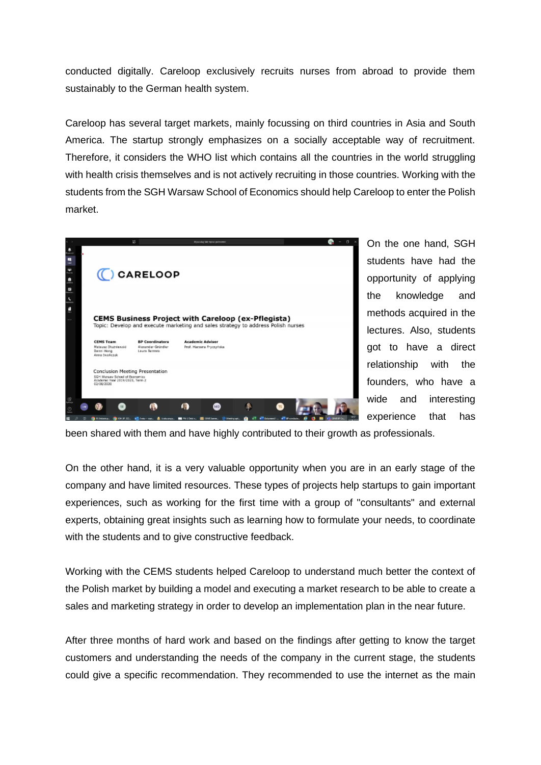conducted digitally. Careloop exclusively recruits nurses from abroad to provide them sustainably to the German health system.

Careloop has several target markets, mainly focussing on third countries in Asia and South America. The startup strongly emphasizes on a socially acceptable way of recruitment. Therefore, it considers the WHO list which contains all the countries in the world struggling with health crisis themselves and is not actively recruiting in those countries. Working with the students from the SGH Warsaw School of Economics should help Careloop to enter the Polish market.



On the one hand, SGH students have had the opportunity of applying the knowledge and methods acquired in the lectures. Also, students got to have a direct relationship with the founders, who have a wide and interesting experience that has

been shared with them and have highly contributed to their growth as professionals.

On the other hand, it is a very valuable opportunity when you are in an early stage of the company and have limited resources. These types of projects help startups to gain important experiences, such as working for the first time with a group of "consultants" and external experts, obtaining great insights such as learning how to formulate your needs, to coordinate with the students and to give constructive feedback.

Working with the CEMS students helped Careloop to understand much better the context of the Polish market by building a model and executing a market research to be able to create a sales and marketing strategy in order to develop an implementation plan in the near future.

After three months of hard work and based on the findings after getting to know the target customers and understanding the needs of the company in the current stage, the students could give a specific recommendation. They recommended to use the internet as the main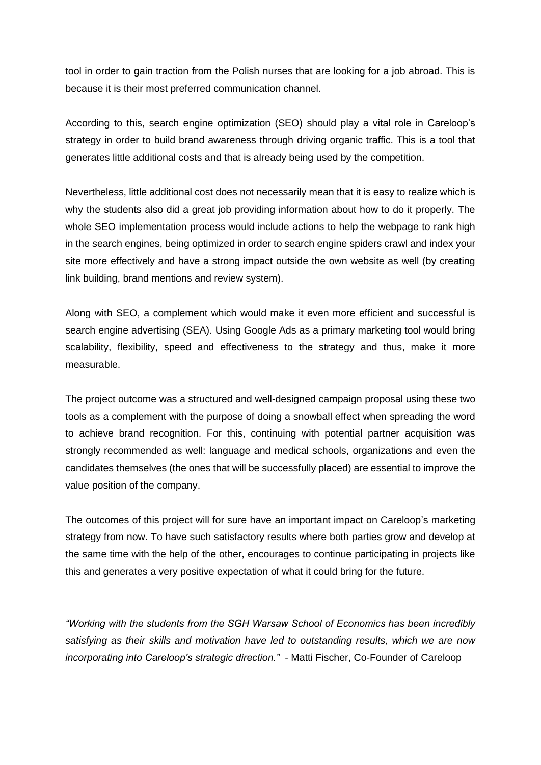tool in order to gain traction from the Polish nurses that are looking for a job abroad. This is because it is their most preferred communication channel.

According to this, search engine optimization (SEO) should play a vital role in Careloop's strategy in order to build brand awareness through driving organic traffic. This is a tool that generates little additional costs and that is already being used by the competition.

Nevertheless, little additional cost does not necessarily mean that it is easy to realize which is why the students also did a great job providing information about how to do it properly. The whole SEO implementation process would include actions to help the webpage to rank high in the search engines, being optimized in order to search engine spiders crawl and index your site more effectively and have a strong impact outside the own website as well (by creating link building, brand mentions and review system).

Along with SEO, a complement which would make it even more efficient and successful is search engine advertising (SEA). Using Google Ads as a primary marketing tool would bring scalability, flexibility, speed and effectiveness to the strategy and thus, make it more measurable.

The project outcome was a structured and well-designed campaign proposal using these two tools as a complement with the purpose of doing a snowball effect when spreading the word to achieve brand recognition. For this, continuing with potential partner acquisition was strongly recommended as well: language and medical schools, organizations and even the candidates themselves (the ones that will be successfully placed) are essential to improve the value position of the company.

The outcomes of this project will for sure have an important impact on Careloop's marketing strategy from now. To have such satisfactory results where both parties grow and develop at the same time with the help of the other, encourages to continue participating in projects like this and generates a very positive expectation of what it could bring for the future.

*"Working with the students from the SGH Warsaw School of Economics has been incredibly satisfying as their skills and motivation have led to outstanding results, which we are now incorporating into Careloop's strategic direction."* - Matti Fischer, Co-Founder of Careloop